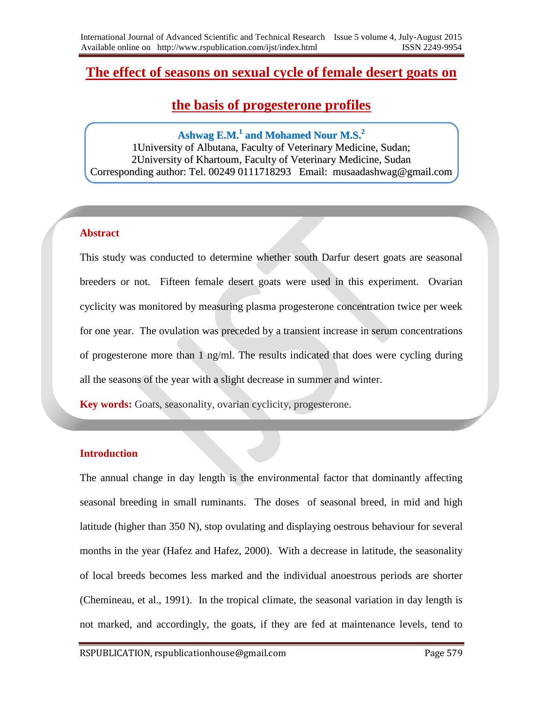# **The effect of seasons on sexual cycle of female desert goats on**

# **the basis of progesterone profiles**

## **Ashwag E.M. 1 and Mohamed Nour M.S. 2**

1University of Albutana, Faculty of Veterinary Medicine, Sudan; 2University of Khartoum, Faculty of Veterinary Medicine, Sudan Corresponding author: Tel. 00249 0111718293 Email: musaadashwag@gmail.com

## **Abstract**

This study was conducted to determine whether south Darfur desert goats are seasonal breeders or not. Fifteen female desert goats were used in this experiment. Ovarian cyclicity was monitored by measuring plasma progesterone concentration twice per week for one year. The ovulation was preceded by a transient increase in serum concentrations of progesterone more than 1 ng/ml. The results indicated that does were cycling during all the seasons of the year with a slight decrease in summer and winter.

**Key words:** Goats, seasonality, ovarian cyclicity, progesterone.

## **Introduction**

The annual change in day length is the environmental factor that dominantly affecting seasonal breeding in small ruminants. The doses of seasonal breed, in mid and high latitude (higher than 350 N), stop ovulating and displaying oestrous behaviour for several months in the year (Hafez and Hafez, 2000). With a decrease in latitude, the seasonality of local breeds becomes less marked and the individual anoestrous periods are shorter (Chemineau, et al., 1991). In the tropical climate, the seasonal variation in day length is not marked, and accordingly, the goats, if they are fed at maintenance levels, tend to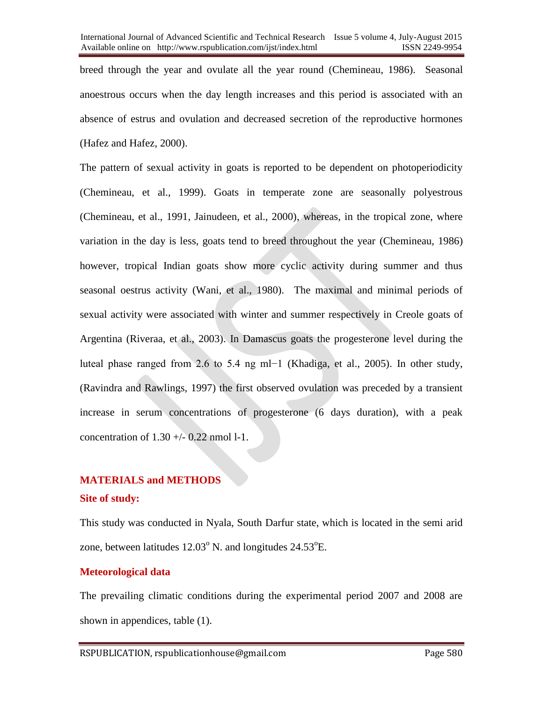breed through the year and ovulate all the year round (Chemineau, 1986). Seasonal anoestrous occurs when the day length increases and this period is associated with an absence of estrus and ovulation and decreased secretion of the reproductive hormones (Hafez and Hafez, 2000).

The pattern of sexual activity in goats is reported to be dependent on photoperiodicity (Chemineau, et al., 1999). Goats in temperate zone are seasonally polyestrous (Chemineau, et al., 1991, Jainudeen, et al., 2000), whereas, in the tropical zone, where variation in the day is less, goats tend to breed throughout the year (Chemineau, 1986) however, tropical Indian goats show more cyclic activity during summer and thus seasonal oestrus activity (Wani, et al., 1980). The maximal and minimal periods of sexual activity were associated with winter and summer respectively in Creole goats of Argentina (Riveraa, et al., 2003). In Damascus goats the progesterone level during the luteal phase ranged from 2.6 to 5.4 ng ml−1 (Khadiga, et al., 2005). In other study, (Ravindra and Rawlings, 1997) the first observed ovulation was preceded by a transient increase in serum concentrations of progesterone (6 days duration), with a peak concentration of  $1.30 +/- 0.22$  nmol 1-1.

## **MATERIALS and METHODS**

#### **Site of study:**

This study was conducted in Nyala, South Darfur state, which is located in the semi arid zone, between latitudes  $12.03^{\circ}$  N. and longitudes  $24.53^{\circ}$ E.

## **Meteorological data**

The prevailing climatic conditions during the experimental period 2007 and 2008 are shown in appendices, table (1).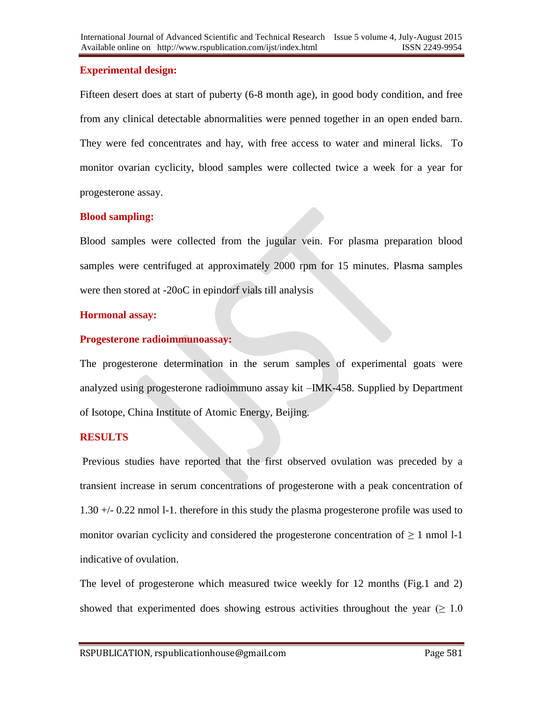## **Experimental design:**

Fifteen desert does at start of puberty (6-8 month age), in good body condition, and free from any clinical detectable abnormalities were penned together in an open ended barn. They were fed concentrates and hay, with free access to water and mineral licks. To monitor ovarian cyclicity, blood samples were collected twice a week for a year for progesterone assay.

## **Blood sampling:**

Blood samples were collected from the jugular vein. For plasma preparation blood samples were centrifuged at approximately 2000 rpm for 15 minutes. Plasma samples were then stored at -20oC in epindorf vials till analysis

## **Hormonal assay:**

## **Progesterone radioimmunoassay:**

The progesterone determination in the serum samples of experimental goats were analyzed using progesterone radioimmuno assay kit –IMK-458. Supplied by Department of Isotope, China Institute of Atomic Energy, Beijing.

## **RESULTS**

Previous studies have reported that the first observed ovulation was preceded by a transient increase in serum concentrations of progesterone with a peak concentration of 1.30 +/- 0.22 nmol l-1. therefore in this study the plasma progesterone profile was used to monitor ovarian cyclicity and considered the progesterone concentration of  $\geq 1$  nmol 1-1 indicative of ovulation.

The level of progesterone which measured twice weekly for 12 months (Fig.1 and 2) showed that experimented does showing estrous activities throughout the year ( $\geq 1.0$ )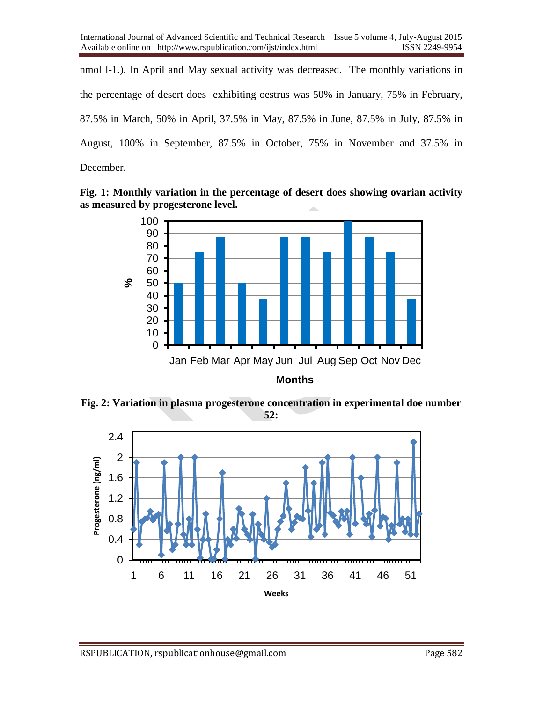nmol l-1.). In April and May sexual activity was decreased. The monthly variations in the percentage of desert does exhibiting oestrus was 50% in January, 75% in February, 87.5% in March, 50% in April, 37.5% in May, 87.5% in June, 87.5% in July, 87.5% in August, 100% in September, 87.5% in October, 75% in November and 37.5% in December.

**Fig. 1: Monthly variation in the percentage of desert does showing ovarian activity as measured by progesterone level.**



**Months**

**Fig. 2: Variation in plasma progesterone concentration in experimental doe number 52:**

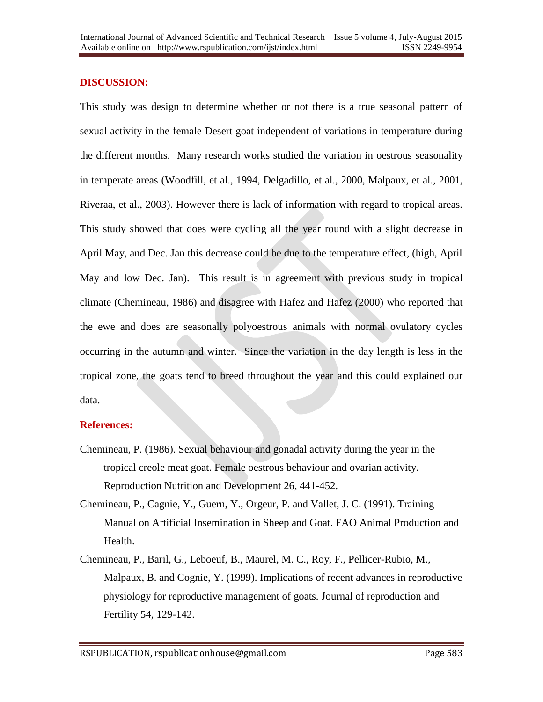## **DISCUSSION:**

This study was design to determine whether or not there is a true seasonal pattern of sexual activity in the female Desert goat independent of variations in temperature during the different months. Many research works studied the variation in oestrous seasonality in temperate areas (Woodfill, et al., 1994, Delgadillo, et al., 2000, Malpaux, et al., 2001, Riveraa, et al., 2003). However there is lack of information with regard to tropical areas. This study showed that does were cycling all the year round with a slight decrease in April May, and Dec. Jan this decrease could be due to the temperature effect, (high, April May and low Dec. Jan). This result is in agreement with previous study in tropical climate (Chemineau, 1986) and disagree with Hafez and Hafez (2000) who reported that the ewe and does are seasonally polyoestrous animals with normal ovulatory cycles occurring in the autumn and winter. Since the variation in the day length is less in the tropical zone, the goats tend to breed throughout the year and this could explained our data.

#### **References:**

- Chemineau, P. (1986). Sexual behaviour and gonadal activity during the year in the tropical creole meat goat. Female oestrous behaviour and ovarian activity. Reproduction Nutrition and Development 26, 441-452.
- Chemineau, P., Cagnie, Y., Guern, Y., Orgeur, P. and Vallet, J. C. (1991). Training Manual on Artificial Insemination in Sheep and Goat. FAO Animal Production and Health.
- Chemineau, P., Baril, G., Leboeuf, B., Maurel, M. C., Roy, F., Pellicer-Rubio, M., Malpaux, B. and Cognie, Y. (1999). Implications of recent advances in reproductive physiology for reproductive management of goats. Journal of reproduction and Fertility 54, 129-142.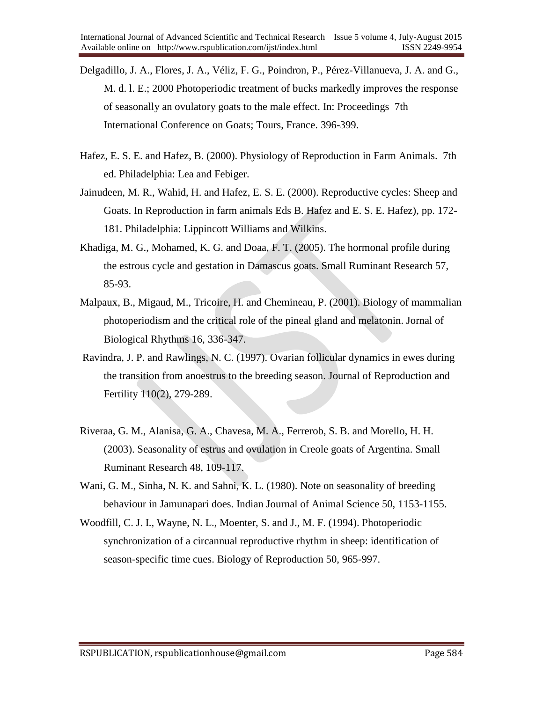- Delgadillo, J. A., Flores, J. A., Véliz, F. G., Poindron, P., Pérez-Villanueva, J. A. and G., M. d. l. E.; 2000 Photoperiodic treatment of bucks markedly improves the response of seasonally an ovulatory goats to the male effect. In: Proceedings 7th International Conference on Goats; Tours, France. 396-399.
- Hafez, E. S. E. and Hafez, B. (2000). Physiology of Reproduction in Farm Animals. 7th ed. Philadelphia: Lea and Febiger.
- Jainudeen, M. R., Wahid, H. and Hafez, E. S. E. (2000). Reproductive cycles: Sheep and Goats. In Reproduction in farm animals Eds B. Hafez and E. S. E. Hafez), pp. 172- 181. Philadelphia: Lippincott Williams and Wilkins.
- Khadiga, M. G., Mohamed, K. G. and Doaa, F. T. (2005). The hormonal profile during the estrous cycle and gestation in Damascus goats. Small Ruminant Research 57, 85-93.
- Malpaux, B., Migaud, M., Tricoire, H. and Chemineau, P. (2001). Biology of mammalian photoperiodism and the critical role of the pineal gland and melatonin. Jornal of Biological Rhythms 16, 336-347.
- Ravindra, J. P. and Rawlings, N. C. (1997). Ovarian follicular dynamics in ewes during the transition from anoestrus to the breeding season. Journal of Reproduction and Fertility 110(2), 279-289.
- Riveraa, G. M., Alanisa, G. A., Chavesa, M. A., Ferrerob, S. B. and Morello, H. H. (2003). Seasonality of estrus and ovulation in Creole goats of Argentina. Small Ruminant Research 48, 109-117.
- Wani, G. M., Sinha, N. K. and Sahni, K. L. (1980). Note on seasonality of breeding behaviour in Jamunapari does. Indian Journal of Animal Science 50, 1153-1155.
- Woodfill, C. J. I., Wayne, N. L., Moenter, S. and J., M. F. (1994). Photoperiodic synchronization of a circannual reproductive rhythm in sheep: identification of season-specific time cues. Biology of Reproduction 50, 965-997.